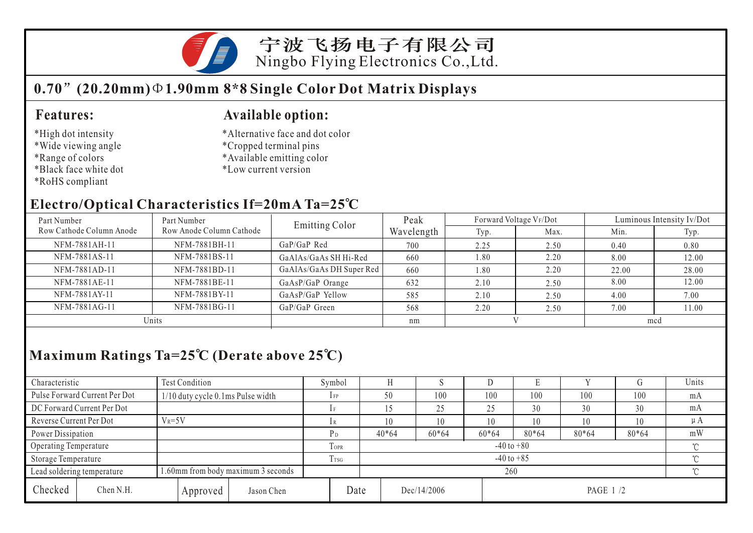

宁波飞扬电子有限公司 Ningbo Flying Electronics Co.,Ltd.

### **0.70 (20.20mm) 1.90mm 8\*8 Single Color Dot Matrix Displays**

#### **Features:**

- \*High dot intensity
- \*Wide viewing angle
- \*Range of colors
- \*Black face white dot
- \*RoHS compliant

#### **Available option:**

- \*Alternative face and dot color
- \*Cropped terminal pins
- \*Available emitting color
- \*Low current version

#### **Electro/Optical Characteristics If=20mA Ta=25 C**

| Part Number              | Part Number              | Emitting Color           | Peak       |      | Forward Voltage VF/Dot | Luminous Intensity Iv/Dot |       |  |
|--------------------------|--------------------------|--------------------------|------------|------|------------------------|---------------------------|-------|--|
| Row Cathode Column Anode | Row Anode Column Cathode |                          | Wavelength | Typ. | Max.                   | Min.                      | Typ.  |  |
| NFM-7881AH-11            | NFM-7881BH-11            | $GaP/GaP$ Red            | 700        | 2.25 | 2.50                   | 0.40                      | 0.80  |  |
| NFM-7881AS-11            | NFM-7881BS-11            | GaAlAs/GaAs SH Hi-Red    | 660        | 1.80 | 2.20                   | 8.00                      | 12.00 |  |
| NFM-7881AD-11            | NFM-7881BD-11            | GaAlAs/GaAs DH Super Red | 660        | 1.80 | 2.20                   | 22.00                     | 28.00 |  |
| NFM-7881AE-11            | NFM-7881BE-11            | GaAsP/GaP Orange         | 632        | 2.10 | 2.50                   | 8.00                      | 12.00 |  |
| NFM-7881AY-11            | NFM-7881BY-11            | GaAsP/GaP Yellow         | 585        | 2.10 | 2.50                   | 4.00                      | 7.00  |  |
| NFM-7881AG-11            | NFM-7881BG-11            | GaP/GaP Green            | 568        | 2.20 | 2.50                   | 7.00                      | 11.00 |  |
| Units                    |                          |                          | nm         |      |                        | mcd                       |       |  |

## **Maximum Ratings Ta=25 C (Derate above 25 C)**

| Characteristic          |                               | <b>Test Condition</b>                |                  |                          |                          | Symbol         |         |             |         | IJ      |           |       |         | Units |  |
|-------------------------|-------------------------------|--------------------------------------|------------------|--------------------------|--------------------------|----------------|---------|-------------|---------|---------|-----------|-------|---------|-------|--|
|                         | Pulse Forward Current Per Dot | $1/10$ duty cycle 0.1 ms Pulse width |                  |                          |                          | $1$ FP         | 50      |             | 100     | 100     | 100       | 100   | 100     | mA    |  |
|                         | DC Forward Current Per Dot    |                                      |                  |                          |                          |                |         |             | 25      | 25      | 30        | 30    | 30      | mA    |  |
| Reverse Current Per Dot |                               | $V_R = 5V$                           |                  |                          |                          | 10             |         | 10          | 10      | 10      | 10        | 10    | $\mu A$ |       |  |
| Power Dissipation       |                               |                                      |                  |                          |                          | P <sub>D</sub> | $40*64$ |             | $60*64$ | $60*64$ | 80*64     | 80*64 | 80*64   | mW    |  |
| Operating Temperature   |                               |                                      |                  | TOPR                     | $-40$ to $+80$<br>$\sim$ |                |         |             |         |         |           |       |         |       |  |
| Storage Temperature     |                               |                                      | T <sub>TSG</sub> | $-40$ to $+85$<br>$\sim$ |                          |                |         |             |         |         |           |       |         |       |  |
|                         | Lead soldering temperature    | 1.60mm from body maximum 3 seconds   |                  |                          |                          |                | 260     |             |         |         |           |       |         |       |  |
| Checked                 | Chen N.H.                     |                                      | Approved         | Jason Chen               | Date                     |                |         | Dec/14/2006 |         |         | PAGE 1 /2 |       |         |       |  |